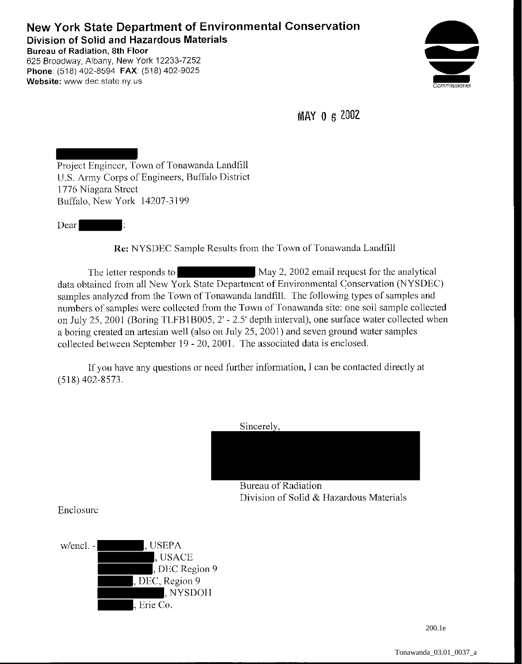## **New York State Department of Environmental Conservation Division of Solid and Hazardous Materials Bureau of Radiation, 8th Floor**  625 Broadway, Albany, New York 12233-7252 **Phone** (518) 402-8594 **FAX:** (518) 402-9025



**MAY 0** s 2002

Project Engineer, Town of Tonawanda Landfill U.S. Army Corps of Engineers, Buffalo District 1776 Niagara Street Buffalo, New York 14207-3199

Dear

**Website:** www dec.state.ny.us

**Rc:** NYSDEC Sample Results from the Town of Tonawanda Landfill

The letter responds to May 2, 2002 email request for the analytical data obtained from all New York State Department of Environmental Conservation (NYSDEC) samples analyzed from the Town of Tonawanda landfill. The following types of samples and numbers of samples were collected from the Town of Tonawanda site: one soil sample collected on July 25,2001 (Boring TLFB1B005, 2'- 2.5' depth interval), one surface water collected when a boring created an artesian well (also on July 25, 2001) and seven ground water samples collected between September 19 - 20, 2001. The associated data is enclosed.

If you have any questions or need further information, I can be contacted directly at (518) 402-8573.

Sincerely,



Bureau of Radiation Division of Solid & Hazardous Materials

Enclosure

w/encl. - L. USEPA , USACE , DEC Region 9 , DEC, Region 9 , NYSDOH , Erie Co.

200.1e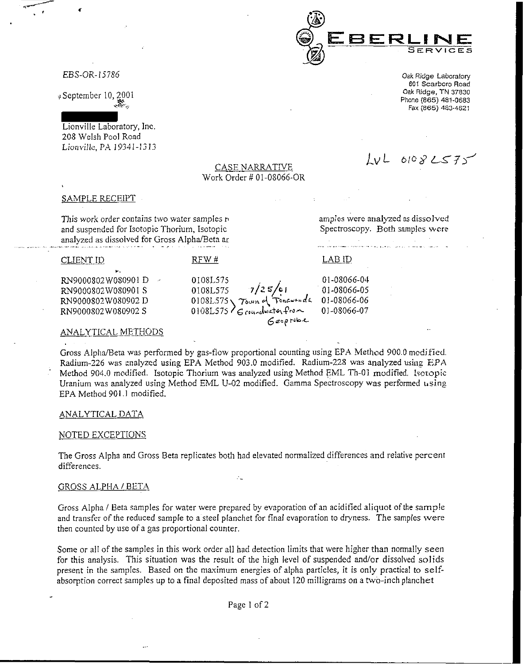

EBS-OR-15786

» September 10, 2001

~-.;;

Lionville Laboratory, Inc. 208 Welsh Pool Road Lionville, PA 19341-1313

*Oak* **Ridge Laboratory 601 Scarboro Road**  Oak Ridge, TN 37830 Phone (865) 481-0683 Fax (865) 483-4621

 $6$ espribe

*Lv* L 6to *i? LS::* <sup>1</sup>)'

#### **CASE NARRATIVE** Work Order # 01-08066-OR

#### SAMPLE RECEIPT

CLIENTID

This work order contains two water samples r• and suspended for Isotopic Thorium, Isotopic analyzed as dissolved for Gross Alpha/Beta ar

RFW#

0108L575

0108L575 7/25/ci

*amples* **were analyzed as dissolved**  Spectroscopy. Both samples were

LABID

0 I -08066-04 0 I -08066-05 01-08066-06 01-08066-07

RN9000802W080901 D &'19000802W08090I S FUN9000802W080902D RN9000802W080902 S

#### **ANALYTICAL METHODS**

Gross Alpha/Beta was performed by gas-flow proportional counting using EPA Method 900.0 medified. Radium-226 was analyzed using EPA Method 903.0 modified. Radium-228 was analyzed using EPA Method 904.0 modified. Isotopic Thorium was analyzed using Method EML Th-01 modified. Isotopic Uranium was analyzed using Method EML U-02 modified. Gamma Spectroscopy was performed using EPA Method 901.1 modified.

0108L575 \ *Town* of *Tonawanda*  $0108L575$  G coundwater from

#### ANALYTICAL DATA

### NOTED EXCEPTIONS

The Gross Alpha and Gross Beta replicates both had elevated nonnalized differences and relative percent differences.

#### GROSS ALPHA / BETA

Gross Alpha / Beta samples for water were prepared by evaporation of an acidified aliquot of the sample and transfer of the reduced sample to a steel planchet for final evaporation to dryness. The samples were then counted by use of a gas proportional counter.

Some or all of the samples in *this* work order all had detection limits that were higher than normally seen for this analysis. This situation was the result of the high level of suspended and/or dissolved solids present in the samples. Based on the maximum energies of alpha particles, it is only practical to selfabsorption correct samples up to a final deposited mass of about 120 milligrams on a two-inch planchet

Page 1 of 2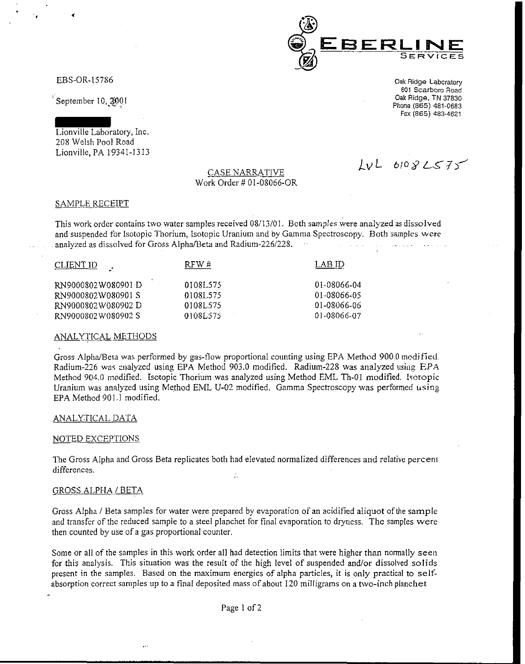

EBS-OR-15786

 $\epsilon$  +  $\epsilon$ 

September 10, 2001

Lionville Laboratory, Inc. 208 Welsh Pool Road Lionville, PA 19341-1313

### CASE NARRATIVE Work Order# 01-08066-0R

 $LvL$  6108  $LST$ 

**Oak Ridge Laboratory 601 Scarboro Road**  Oak Ridge, TN 37830 Phone (865) 481-0683 Fax (865) 483-4621

### SAMPLE RECEIPT

This work order contains two water samples received 08/13/01. Both samples were analyzed as dissolved and suspended for Isotopic Thorium, Isotopic Uranium and by Gamma Spectroscopy. Both samples were analyzed as dissolved for Gross Alpha/Beta and Radium-226/228.

| <u>CLIENT ID</u>   | RFW#      | LAB ID      |
|--------------------|-----------|-------------|
| RN9000802W080901D  | 0108L575  | 01-08066-04 |
| RN9000802W080901 S | 01081.575 | 01-08066-05 |
| RN9000802W080902D  | 0108L575  | 01-08066-06 |
| RN9000802W080902S  | 0108L575  | 01-08066-07 |

#### **ANALYTICAL METHODS**

Gross Alpha/Beta was performed by gas-tlow proportional counting using EPA Method 900.0 modified. Radium-226 was analyzed using EPA Method 903.0 modified. Radium-228 was analyzed using EPA Method 904.0 modified. Isotopic Thorium was analyzed using Method EML Th-01 modified. Isotopic Uranium was analyzed using Method EML U-02 modified. Gamma Spectroscopy was performed using EPA Method 901.1 modified.

#### ANALYTICAL DATA

#### NOTED EXCEPTIONS

The Gross Alpha and Gross Beta replicates both had elevated normalized differences and relative percent differences.  $\ddot{\cdot}$ 

#### **GROSS ALPHA / BETA**

Gross Alpha / Beta samples for water were prepared by evaporation of an acidified aliquot of the sample and transfer of the reduced sample to a steel planchet for final evaporation to dryness. The samples were then counted by use of a gas proportional counter.

Some or all of the samples in this work order all had detection limits that were higher than normally seen for this analysis. This situation was the result of the high level of suspended and/or dissolved solids present in the samples. Based on the maximum energies of alpha particles, it is only practical to selt: absorption correct samples up to a final deposited mass of about 120 milligrams on a two-inch planchet

Page 1 of 2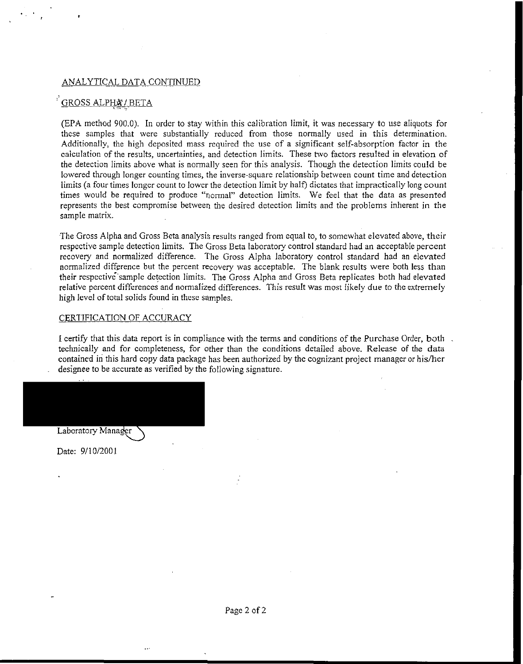#### ANALYTICAL DATA CONTINUED

# GROSS ALPHA/BETA

(EPA method 900.0). In order to stay within this calibration limit, it was necessary to use aliquots for these samples that were substantially reduced from those normally used in this determination. Additionally, the high deposited mass required the use of a significant self-absorption factor in the calculation of the results, uncertainties, and detection limits. These two factors resulted in elevation of the detection limits above what is normally seen for this analysis. Though the detection limits could be lowered through longer counting times, the inverse-square relationship between count time and detection limits (a four times longer count to lower the detection limit by half) dictates that impractically long count times would be required to produce "normal" detection limits. We feel that the data as presented represents the best compromise between the desired detection limits and the problems inherent in the sample matrix.

The Gross Alpha and Gross Beta analysis results ranged from equal to, to somewhat elevated above, their respective sample detection limits. The Gross Beta laboratory control standard had an acceptable percent recovery and normalized difference. The Gross Alpha laboratory control standard had an elevated normalized difference but the percent recovery was acceptable. The blank results were both less than their respective·sample detection limits. The Gross Alpha and Gross Beta replicates both had elevated relative percent differences and normalized differences. This result was most likely due to the extremely high level of total solids found in these samples.

### CERTIFICATION OF ACCURACY

I certify that this data report is in compliance with the terms and conditions of the Purchase Order, both technically and for completeness, for other than the conditions detailed above. Release of the data contained in this hard copy data package has been authorized by the cognizant project manager or his/her designee to be accurate as verified by the following signature.

Laboratory Manager

Date: 9/10/2001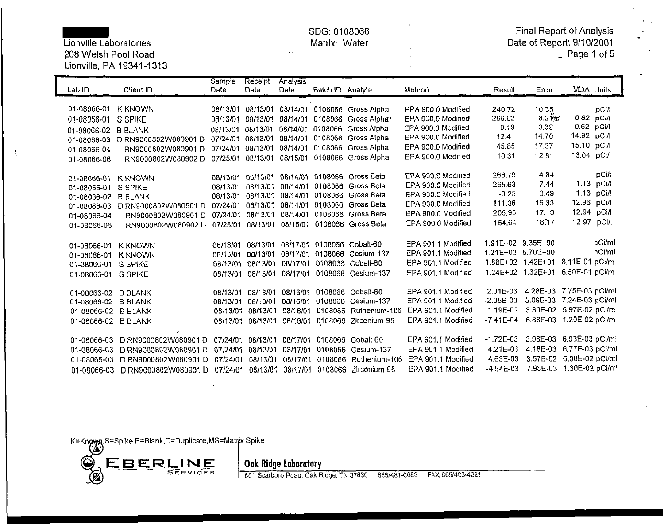?08 Welsh Pool Road ·- Page 1 of 5 Lionville, PA 19341-1313

 $\mathcal{R}_\mathrm{c}$ 

SDG: 0108066 Final Report of Analysis Lionville Laboratories **Matrix: Water Conville Laboratories** Matrix: Water Date of Report: 9/10/2001<br>208 Welsh Pool Road Page 1 of 5

| Lab ID              | Client ID             | Sample<br>Date    | Receipt<br>Date | Analysis<br>Date  | Batch ID Analyte |                                      | Method             | Result            | Error                              |             | <b>MDA Units</b> |
|---------------------|-----------------------|-------------------|-----------------|-------------------|------------------|--------------------------------------|--------------------|-------------------|------------------------------------|-------------|------------------|
|                     |                       |                   |                 |                   |                  |                                      |                    |                   |                                    |             |                  |
| 01-08066-01         | <b>K KNOWN</b>        | 08/13/01          | 08/13/01        |                   |                  | 08/14/01 0108066 Gross Alpha         | EPA 900.0 Modified | 24072             | 10.35                              |             | pCi/i            |
| 01-08066-01         | S SPIKE               | 08/13/01          | 08/13/01        | 08/14/01          | 0108066          | Gross Alpha <sup>+</sup>             | EPA 900.0 Modified | 266.62            | 8.21 m                             |             | 0.62 pCi/l       |
| 01-08066-02         | <b>B BLANK</b>        | 08/13/01          | 08/13/01        | 08/14/01          |                  | 0108066 Gross Alpha                  | EPA 900.0 Modified | 0.19              | 0.32                               |             | 0.62 pCi/l       |
| 01-08066-03         | D RN9000802W080901 D  | 07/24/01          | 08/13/01        | 08/14/01          | 0108066          | Gross Alpha                          | EPA 900.0 Modified | 12.41             | 14.70                              | 14.92 pCi/l |                  |
| 01-08066-04         | RN9000802W080901D     | 07/24/01          | 08/13/01        | 08/14/01          | 0108066          | Gross Alpha                          | EPA 900.0 Modified | 45.85             | 17.37                              | 15.10 pCi/l |                  |
| 01-08066-06         | RN9000802W080902D     | 07/25/01          | 08/13/01        |                   |                  | 08/15/01 0108066 Gross Alpha         | EPA 900.0 Modified | 1031              | 12.81                              | 13.04 pCi/l |                  |
|                     |                       |                   |                 |                   |                  |                                      |                    |                   |                                    |             |                  |
| 01-08066-01         | <b>K KNOWN</b>        | 08/13/01 08/13/01 |                 | 08/14/01          |                  | 0108066 Gross Beta                   | EPA 900.0 Modified | 268,79            | 4.84                               |             | pCi/l            |
| 01-08066-01         | S SPIKE               | 08/13/01          | 08/13/01        | 08/14/01          |                  | 0108066 Gross Beta                   | EPA 900.0 Modified | 265.63            | 7.44                               |             | 1.13 pCi/l       |
| 01-08066-02         | <b>B BLANK</b>        | 08/13/01          | 08/13/01        | 08/14/01          |                  | 0108066 Gross Beta                   | EPA 900.0 Modified | $-0.25$           | 0.49                               |             | 1.13 pCi/l       |
| 01-08066-03         | D RN9000802W080901 D  | 07/24/01          | 08/13/01        | 08/14/01          |                  | 0108066 Gross Beta                   | EPA 900.0 Modified | 111.36            | 15.33                              | 12.96 pCi/l |                  |
| 01-08066-04         | RN9000802W080901D     | 07/24/01          | 08/13/01        |                   | 08/14/01 0108066 | Gross Beta                           | EPA 900.0 Modified | 206.95            | 17.10                              |             | 12.94 pCi/l      |
| 01-08066-06         | RN9000802W080902D     | 07/25/01          |                 |                   |                  | 08/13/01 08/15/01 0108066 Gross Beta | EPA 900.0 Modified | 154.64            | 16.17                              |             | 12.97 pCi/l      |
|                     |                       |                   |                 |                   |                  |                                      |                    |                   |                                    |             |                  |
| 01-08066-01         | φ×.<br><b>K KNOWN</b> | 08/13/01          | 08/13/01        | 08/17/01          |                  | 0108066 Cobalt-60                    | EPA 901.1 Modified | 1.91E+02 9.35E+00 |                                    |             | pCi/ml           |
| 01-08066-01         | <b>K KNOWN</b>        | 08/13/01          | 08/13/01        | 08/17/01          |                  | 0108066 Cesium-137                   | EPA 901.1 Modified | 1.21E+02 5.70E+00 |                                    |             | pCi/ml           |
| 01-08066-01         | S SPIKE               | 08/13/01          | 08/13/01        | 08/17/01          | 0108066          | Cobalt-60                            | EPA 901.1 Modified |                   | 1.88E+02 1.42E+01 8.11E-01 pCi/ml  |             |                  |
| 01-08066-01 S SPIKE |                       | 08/13/01          | 08/13/01        | 08/17/01          |                  | 0108066 Cesium-137                   | EPA 901.1 Modified |                   | 1.24E+02 1.32E+01 6.50E-01 pCi/ml  |             |                  |
|                     |                       |                   |                 |                   |                  |                                      |                    |                   |                                    |             |                  |
| 01-08066-02 B BLANK |                       | 08/13/01          | 08/13/01        | 08/16/01          | 0108066          | Cobalt-60                            | EPA 901.1 Modified | 2.01E-03          | 4.28E-03 7.75E-03 pCi/ml           |             |                  |
| 01-08066-02 B BLANK |                       | 08/13/01          | 08/13/01        | 08/16/01          | 0108066          | Cesium-137                           | EPA 901.1 Modified | $-2.05E-03$       | 5.09E-03 7.24E-03 pCi/ml           |             |                  |
| 01-08066-02 B BLANK |                       | 08/13/01          | 08/13/01        | 08/16/01          |                  | 0108066 Ruthenium-106                | EPA 901.1 Modified | 1.19E-02          | 3.30E-02 5.97E-02 pCi/ml           |             |                  |
| 01-08066-02 B BLANK |                       | 08/13/01          | 08/13/01        |                   |                  | 08/16/01 0108066 Zirconium-95        | EPA 901.1 Modified | -7.41E-04         | 6.88E-03 1.20E-02 pCi/ml           |             |                  |
|                     |                       |                   |                 |                   |                  |                                      |                    |                   |                                    |             |                  |
| 01-08066-03         | D RN9000802W080901 D  | 07/24/01          | 08/13/01        | 08/17/01          |                  | 0108066 Cobalt-60                    | EPA 901.1 Modified | $-1.72E - 03$     | 3.98E-03 6.93E-03 pCi/ml           |             |                  |
| 01-08066-03         | D RN9000802W080901 D  | 07/24/01          | 08/13/01        | 08/17/01          |                  | 0108066 Cesium-137                   | EPA 901.1 Modified | 4.21E-03          | 4.18E-03 6.77E-03 pCi/ml           |             |                  |
| 01-08066-03         | D RN9000802W080901 D  | 07/24/01          | 08/13/01        | 08/17/01          |                  | 0108066 Ruthenium-106                | EPA 901.1 Modified |                   | 4.63E-03 .3.57E-02 6.08E-02 pCi/ml |             |                  |
| 01-08066-03         | D RN9000802W080901 D  | 07/24/01          |                 | 08/13/01 08/17/01 |                  | 0108066 Zirconium-95                 | EPA 901 1 Modified | -4.54E-03         | 7.98E-03 1.30E-02 pCi/ml           |             |                  |

K=Known,S=Spike,B=Blank,D=Duplicate,MS=Matrix Spike



**601 Scarboro Road, Oak Ridge, TN 37830 865/481-0683 FAX 865/483-4621**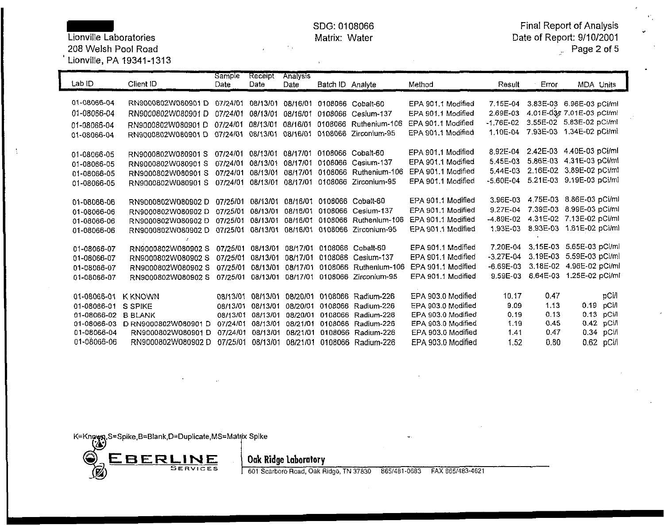208 Welsh Pool Road Page 2 of5

 $\mathcal{L}$ 

# 'Lionville, PA 19341-1313

 $\mathbf{y}^{\prime}$ 

SDG: 0108066 Final Report of Analysis Lionville Laboratories Matrix: Water Date of Report: 9/10/2001  $\Omega_{\rm{L}}$ 

| Lab ID      | Client ID            | <b>Sample</b><br>Date | Receipt<br>Date   | <b>Analysis</b><br>Date | Batch ID Analyte |                               | Method             | Result      | Error      | <b>MDA Units</b>          |
|-------------|----------------------|-----------------------|-------------------|-------------------------|------------------|-------------------------------|--------------------|-------------|------------|---------------------------|
|             |                      |                       |                   |                         |                  |                               |                    |             |            |                           |
| 01-08066-04 | RN9000802W080901D    | 07/24/01              | 08/13/01          | 08/16/01                |                  | 0108066 Cobalt-60             | EPA 901.1 Modified | 7.15E-04    |            | 3.83E-03 6.96E-03 pCi/ml  |
| 01-08066-04 | RN9000802W080901D    | 07/24/01              | 08/13/01          | 08/16/01                | 0108066          | Cesium-137                    | EPA 901.1 Modified | 2.69E-03    |            | 4.01E-03# 7.01E-03 pCl/ml |
| 01-08066-04 | RN9000802W080901D    | 07/24/01              | 08/13/01          | 08/16/01                | 0108066          | Ruthenium-106                 | EPA 901.1 Modified | -1.76E-02   |            | 3.55E-02 5.83E-02 pCi/ml  |
| 01-08066-04 | RN9000802W080901D    | 07/24/01              | 08/13/01          | 08/16/01                | 0108066          | Zirconium-95                  | EPA 901.1 Modified | 1.10E-04    |            | 7.93E-03 1.34E-02 pCi/ml  |
|             |                      |                       |                   |                         |                  |                               |                    |             |            |                           |
| 01-08066-05 | RN9000802W080901 S   | 07/24/01              | 08/13/01          | 08/17/01                |                  | 0108066 Cobalt-60             | EPA 901.1 Modified | 8.92E-04    |            | 2.42E-03 4.40E-03 pCi/ml  |
| 01-08066-05 | RN9000802W080901S    | 07/24/01              | 08/13/01          | 08/17/01                | 0108066          | Cesium-137                    | EPA 901.1 Modified | 5.45E-03    | 5,86E-03   | 4.31E-03 pCi/ml           |
| 01-08066-05 | RN9000802W080901 S   | 07/24/01              | 08/13/01          | 08/17/01                | 0108066          | Ruthenium-106                 | EPA 901.1 Modified | 5.44E-03    | 2.16E-02   | 3.89E-02 pCi/ml           |
| 01-08066-05 | RN9000802W080901S    | 07/24/01              | 08/13/01          | 08/17/01                | 0108066          | Zirconium-95                  | EPA 901.1 Modified | -5.60E-04   | $5.21E-03$ | 9.19E-03 pCi/ml           |
|             |                      |                       |                   |                         |                  |                               |                    |             |            |                           |
| 01-08066-06 | RN9000802W080902D    | 07/25/01              | 08/13/01          |                         |                  | 08/16/01 0108066 Cobalt-60    | EPA 901.1 Modified | 3.96E-03    |            | 4.75E-03 8.86E-03 pCi/ml  |
| 01-08066-06 | RN9000802W080902D    | 07/25/01              | 08/13/01          |                         | 08/16/01 0108066 | Cesium-137                    | EPA 901.1 Modified | 9.27E-04    | 7.39E-03   | 8.99E-03 pCi/ml           |
| 01-08066-06 | RN9000802W080902D    | 07/25/01              | 08/13/01          |                         | 08/16/01 0108066 | Ruthenium-106                 | EPA 901.1 Modified | $-4.89E-02$ | 4.31E-02   | 7.13E-02 pCi/ml           |
| 01-08066-06 | RN9000802W080902D    | 07/25/01              | 08/13/01          |                         |                  | 08/16/01 0108066 Zirconium-95 | EPA 901.1 Modified | 1.93E-03    |            | 8.93E-03 1.61E-02 pCi/ml  |
|             |                      |                       |                   |                         |                  |                               |                    |             |            |                           |
| 01-08066-07 | RN9000802W080902 S   | 07/25/01              | 08/13/01          | 08/17/01                | 0108066          | Cobalt-60                     | EPA 901.1 Modified | 7.20E-04    |            | 3.15E-03 5.65E-03 pCi/ml  |
| 01-08066-07 | RN9000802W080902 S   | 07/25/01              | 08/13/01          | 08/17/01                | 0108066          | Cesium-137                    | EPA 901.1 Modified | -3.27E-04   | 3.19E-03   | 5.59E-03 pCi/ml           |
| 01-08066-07 | RN9000802W080902 S   |                       | 07/25/01 08/13/01 | 08/17/01                | 0108066          | Ruthenium-106                 | EPA 901.1 Modified | $-6.69E-03$ |            | 3.18E-02 4.96E-02 pCi/ml  |
| 01-08066-07 | RN9000802W080902 S   |                       | 07/25/01 08/13/01 |                         |                  | 08/17/01 0108066 Zirconium-95 | EPA 901.1 Modified | 9.59E-03    |            | 6.64E-03 1.25E-02 pCi/ml  |
|             |                      |                       |                   |                         |                  |                               |                    |             |            |                           |
| 01-08066-01 | <b>K KNOWN</b>       | 08/13/01              | 08/13/01          | 08/20/01                | 0108066          | Radium-226                    | EPA 903.0 Modified | 10.17       | 0.47       | pCi/l                     |
| 01-08066-01 | S SPIKE              | 08/13/01              | 08/13/01          | 08/20/01                | 0108066          | Radium-226                    | EPA 903.0 Modified | 9.09        | 1.13       | $0.19$ pCi/l              |
| 01-08066-02 | <b>B BLANK</b>       | 08/13/01              | 08/13/01          | 08/20/01                | 0108066          | Radium-226                    | EPA 903.0 Modified | 0.19        | 0.13       | 0.13<br>pCi/l             |
| 01-08066-03 | D RN9000802W080901 D | 07/24/01              | 08/13/01          | 08/21/01                |                  | 0108066 Radium-226            | EPA 903.0 Modified | 1.19        | 0.45       | 0.42<br>pCi/l             |
| 01-08066-04 | RN9000802W080901D    | 07/24/01              | 08/13/01          | 08/21/01                | 0108066          | Radium-226                    | EPA 903.0 Modified | 1.41        | 0.47       | 0.34 pCi/l                |
| 01-08066-06 | RN9000802W080902D    | 07/25/01              | 08/13/01          | 08/21/01                |                  | 0108066 Radium-226            | EPA 903.0 Modified | 1.52        | 0.80       | 0.62 pCi/l                |

K=Known,S=Spike,B=Blank,D=Duplicate,MS=Matrix Spike<br>(3)

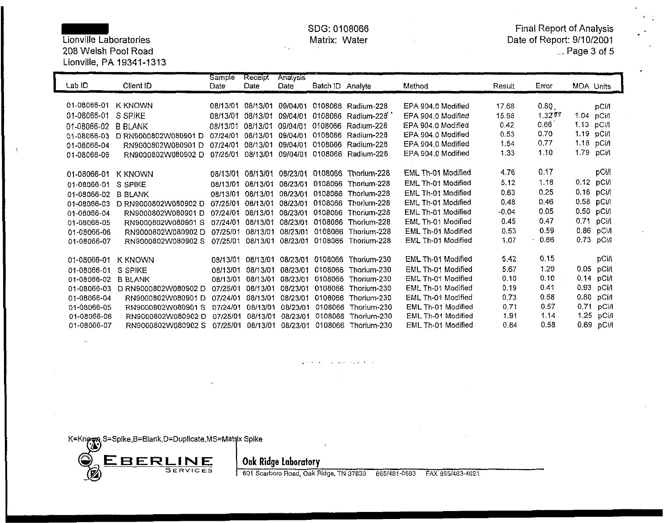Lionville Laboratories Matrix: Water Date of Report: 9/10/2001 208 Welsh Pool Road Lionville, PA 19341-1313

 $\mathcal{L}_{\mathcal{A}}$ 

SDG: 0108066 Final Report of Analysis<br>Matrix: Water Matrix: Water Report: 9/10/2001

| Lab ID      | Client ID            | <b>Sample</b><br>Date | Receipt<br>Date | <b>Analysis</b><br>Date | Batch ID Analyte |                    | Method             | Result  | Error  | <b>MDA Units</b> |              |
|-------------|----------------------|-----------------------|-----------------|-------------------------|------------------|--------------------|--------------------|---------|--------|------------------|--------------|
|             |                      |                       |                 |                         |                  |                    |                    |         |        |                  |              |
| 01-08066-01 | K KNOWN              | 08/13/01              | 08/13/01        | 09/04/01                |                  | 0108066 Radium-228 | EPA 904.0 Modified | 17.68   | 0.80   |                  | <b>pCi/l</b> |
| 01-08066-01 | S SPIKE              | 08/13/01              | 08/13/01        | 09/04/01                | 0108066          | Radium-228         | EPA 904.0 Modified | 15.98   | 1.3277 | 1.04 pCi/l       |              |
| 01-08066-02 | <b>B BLANK</b>       | 08/13/01              | 08/13/01        | 09/04/01                | 0108066          | Radium-228         | EPA 904.0 Modified | 0.42    | 0.66   | 1.13 pCi/l       |              |
| 01-08066-03 | D RN9000802W080901 D | 07/24/01              | 08/13/01        | 09/04/01                |                  | 0108066 Radium-228 | EPA 904.0 Modified | 0.53    | 0.70   | 1.19 pCi/l       |              |
| 01-08066-04 | RN9000802W080901D    | 07/24/01              | 08/13/01        | 09/04/01                |                  | 0108066 Radium-228 | EPA 904.0 Modified | 1.54    | 0.77   | 1.18 pCi/l       |              |
|             | RN9000802W080902D    | 07/25/01              | 08/13/01        | 09/04/01                | 0108066          | Radium-228         | EPA 904.0 Modified | 1.33    | 1.10   | 1.79             | pCi/l        |
| 01-08066-06 |                      |                       |                 |                         |                  |                    |                    |         |        |                  |              |
| 01-08066-01 | K KNOWN              | 08/13/01              | 08/13/01        | 08/23/01                | 0108066          | Thorlum-228        | EML Th-01 Modified | 4.76    | 0.17   |                  | pCi/l        |
| 01-08066-01 | S SPIKE              | 08/13/01              | 08/13/01        | 08/23/01                | 0108066          | Thorium-228        | EML Th-01 Modified | 5.12    | 1.18   | 0.12 pCi/l       |              |
|             |                      | 08/13/01              | 08/13/01        | 08/23/01                | 0108066          | Thorium-228        | EML Th-01 Modified | 0.63    | 0.25   | 0.16 pCi/l       |              |
| 01-08066-02 | <b>B BLANK</b>       |                       |                 |                         | 0108066          | Thorium-228        | EML Th-01 Modified | 0.48    | 0.46   | 0.58 pCi/l       |              |
| 01-08066-03 | D RN9000802W080902 D | 07/25/01              | 08/13/01        | 08/23/01                |                  |                    | EML Th-01 Modified | $-0.04$ | 0.05   | 0.50 pCi/l       |              |
| 01-08066-04 | RN9000802W080901D    | 07/24/01              | 08/13/01        | 08/23/01                | 0108066          | Thorium-228        |                    |         | 0.47   | 0.71             |              |
| 01-08066-05 | RN9000802W080901 S   | 07/24/01              | 08/13/01        | 08/23/01                | 0108066          | Thorium-228        | EML Th-01 Modified | 0.45    |        |                  | pCi/l        |
| 01-08066-06 | RN9000802W080902D    | 07/25/01              | 08/13/01        | 08/23/01                | 0108066          | Thorium-228        | EML Th-01 Modified | 0.53    | 0.59   | 0.86 pCi/l       |              |
| 01-08066-07 | RN9000802W080902 S   | 07/25/01              | 08/13/01        |                         | 08/23/01 0108066 | Thorium-228        | EML Th-01 Modified | 1.07    | 0.66   | 0.73 pCi/l       |              |
|             |                      |                       |                 |                         |                  |                    | EML Th-01 Modified | 5.42    | 0.15   |                  | pCM          |
| 01-08066-01 | K KNOWN              | 08/13/01              | 08/13/01        |                         | 08/23/01 0108066 | Thorium-230        |                    |         |        |                  |              |
| 01-08066-01 | S<br><b>SPIKE</b>    | 08/13/01              | 08/13/01        | 08/23/01                | 0108066          | Thorium-230        | EML Th-01 Modified | 5.67    | 1.29   | $0.05$ pCi/l     |              |
| 01-08066-02 | <b>B BLANK</b>       | 08/13/01              | 08/13/01        | 08/23/01                | 0108066          | Thorium-230        | EML Th-01 Modified | 0.10    | 0.10   | 0.14             | pCi/l        |
| 01-08066-03 | D RN9000802W080902 D | 07/25/01              | 08/13/01        | 08/23/01                | 0108066          | Thorium-230        | EML Th-01 Modified | 0.19    | 0.41   | 0.93 pCi/l       |              |
| 01-08066-04 | RN9000802W080901D    | 07/24/01              | 08/13/01        | 08/23/01                | 0108066          | Thorium-230        | EML Th-01 Modified | 0.73    | 0.58   | 0.80             | pCi/l        |
| 01-08066-05 | RN9000802W080901 S   | 07/24/01              | 08/13/01        | 08/23/01                | 0108066          | Thorium-230        | EML Th-01 Modified | 0.71    | 0.57   | 0.71             | pCi/l        |
| 01-08066-06 | RN9000802W080902 D   | 07/25/01              | 08/13/01        | 08/23/01                | 0108066          | Thorium-230        | EML Th-01 Modified | 1.91    | 1.14   | 1.25             | рСі/І        |
| 01-08066-07 | RN9000802W080902 S   | 07/25/01              | 08/13/01        | 08/23/01                | 0108066          | Thorium-230        | EML Th-01 Modified | 0.84    | 0.58   | 0.69 pCi/l       |              |

K=Known,S=Spike,B=Blank,D=Duplicate,MS=Matrix Spike



F:;;did=Text\_on;p=axt\_on;p=axt\_odid=axt\_odid=axt\_of-axt\_did=axt\_o-c-aritric=axt\_<br>T=AX = 85/483-4621

 $\sim 10^{11}$  kpc  $^{-1}$  kpc.

**Contract**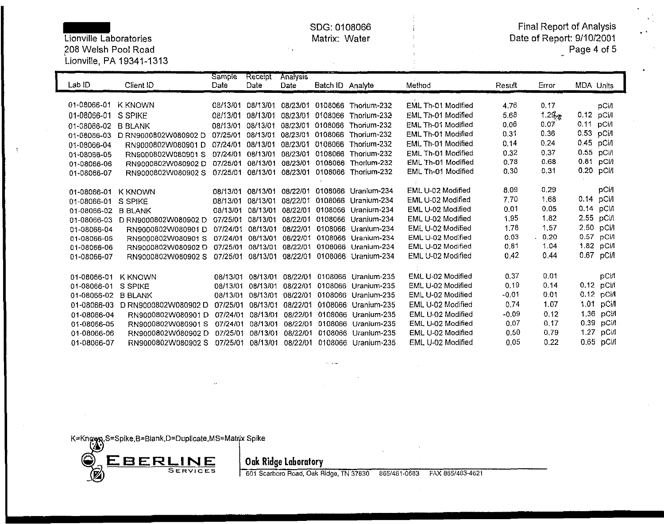*f*  $f(208 \text{ Welsh Pool Road})$ 

# Lionville, PA 19341-1313

 $\cdot$ 

SDG: 0108066 Final Report of Analysis .. Lionville Laboratories Matrix: Water Date of Report: 9/10/2001

| Page 4 of 5 |  |  |  |
|-------------|--|--|--|
|-------------|--|--|--|

| Lab ID      | Client ID            | Sample<br>Date | Receipt<br>Date | <b>Analysis</b><br>Date | Batch ID Analyte |                     | Method             | Result  | Error           | <b>MDA Units</b> |              |
|-------------|----------------------|----------------|-----------------|-------------------------|------------------|---------------------|--------------------|---------|-----------------|------------------|--------------|
| 01-08066-01 | K KNOWN              | 08/13/01       | 08/13/01        | 08/23/01                | 0108066          | Thorium-232         | EML Th-01 Modified | 4.76    | 0.17            |                  | pCi/l        |
| 01-08066-01 | S SPIKE              | 08/13/01       | 08/13/01        | 08/23/01                | 0108066          | Thorium-232         | EML Th-01 Modified | 5.68    | 1.2 $S_{\nu 2}$ | 0.12 pCi/l       |              |
| 01-08066-02 | <b>B BLANK</b>       | 08/13/01       | 08/13/01        | 08/23/01                | 0108066          | Thorium-232         | EML Th-01 Modified | 0.06    | 0.07            | 0.11             | <b>pCi/l</b> |
| 01-08066-03 | D RN9000802W080902 D | 07/25/01       | 08/13/01        | 08/23/01                | 0108066          | Thorium-232         | EML Th-01 Modified | 0.31    | 0.36            | 0.53 pCi/l       |              |
| 01-08066-04 | RN9000802W080901D    | 07/24/01       | 08/13/01        | 08/23/01                | 0108066          | Thorium-232         | EML Th-01 Modified | 0.14    | 0.24            | 0.45 pCi/l       |              |
| 01-08066-05 | RN9000802W080901S    | 07/24/01       | 08/13/01        | 08/23/01                | 0108066          | Thorium-232         | EML Th-01 Modified | 0.32    | 0.37            | 0.55 pCi/l       |              |
| 01-08066-06 | RN9000802W080902D    | 07/25/01       | 08/13/01        | 08/23/01                | 0108066          | Thorium-232         | EML Th-01 Modified | 0.78    | 0.68            | $0.81$ pCi/l     |              |
| 01-08066-07 | RN9000802W080902 S   | 07/25/01       | 08/13/01        | 08/23/01                | 0108066          | Thorium-232         | EML Th-01 Modified | 0.30    | 0.31            |                  | 0.20 pCi/l   |
|             |                      |                |                 |                         |                  |                     |                    |         |                 |                  |              |
| 01-08066-01 | <b>K KNOWN</b>       | 08/13/01       | 08/13/01        | 08/22/01                | 0108066          | Uranium-234         | EML U-02 Modified  | 8.09    | 0.29            |                  | <b>pCi/l</b> |
| 01-08066-01 | S SPIKE              | 08/13/01       | 08/13/01        | 08/22/01                | 0108066          | Uranium-234         | EML U-02 Modified  | 7.70    | 1.68            |                  | $0.14$ pCi/l |
| 01-08066-02 | <b>B BLANK</b>       | 08/13/01       | 08/13/01        | 08/22/01                |                  | 0108066 Uranium-234 | EML U-02 Modified  | 0.01    | 0.05            |                  | $0.14$ pCi/  |
| 01-08066-03 | D RN9000802W080902 D | 07/25/01       | 08/13/01        | 08/22/01                | 0108066          | Uranium-234         | EML U-02 Modified  | 1.95    | 1,82            |                  | 2.55 pCi/l   |
| 01-08066-04 | RN9000802W080901D    | 07/24/01       | 08/13/01        | 08/22/01                | 0108066          | Uranium-234         | EML U-02 Modified  | 1.78    | 1.57            |                  | 2.50 pCi/l   |
| 01-08066-05 | RN9000802W080901 S   | 07/24/01       | 08/13/01        | 08/22/01                | 0108066          | Uranium-234         | EML U-02 Modified  | 0.03    | 0.20            |                  | 0.57 pCi/l   |
| 01-08066-06 | RN9000802W080902D    | 07/25/01       | 08/13/01        |                         | 08/22/01 0108066 | Uranium-234         | EML U-02 Modified  | 0.81    | 1.04            |                  | 1.82 pCi/l   |
| 01-08066-07 | RN9000802W080902 S   | 07/25/01       | 08/13/01        | 08/22/01                | 0108066          | Uranium-234         | EML U-02 Modified  | 0.42    | 0.44            |                  | 0.67 pCi/l   |
|             |                      |                |                 |                         |                  |                     |                    |         |                 |                  |              |
| 01-08066-01 | <b>K KNOWN</b>       | 08/13/01       | 08/13/01        | 08/22/01                | 0108066          | Uranium-235         | EML U-02 Modified  | 0.37    | 0.01            |                  | pCi/l        |
| 01-08066-01 | S SPIKE              | 08/13/01       | 08/13/01        | 08/22/01                | 0108066          | Uranium-235         | EML U-02 Modified  | 0.19    | 0.14            |                  | $0.12$ pCi/l |
| 01-08066-02 | <b>B BLANK</b>       | 08/13/01       | 08/13/01        | 08/22/01                | 0108066          | Uranium-235         | EML U-02 Modified  | $-0.01$ | 0.01            |                  | 0.12 pCi/l   |
| 01-08066-03 | D RN9000802W080902 D | 07/25/01       | 08/13/01        | 08/22/01                | 0108066          | Uranium-235         | EML U-02 Modified  | 0.74    | 1.07            | 1.01             | pCi/l        |
| 01-08066-04 | RN9000802W080901D    | 07/24/01       | 08/13/01        | 08/22/01                | 0108066          | Uranium-235         | EML U-02 Modified  | $-0.09$ | 0.12            |                  | 1.36 pCi/l   |
| 01-08066-05 | RN9000802W080901 S   | 07/24/01       | 08/13/01        | 08/22/01                | 0108066          | Uranium-235         | EML U-02 Modified  | 0.07    | 0.17            | 0.39             | pCi/l        |
| 01-08066-06 | RN9000802W080902D    | 07/25/01       | 08/13/01        | 08/22/01                | 0108066          | Uranium-235         | EML U-02 Modified  | 0.50    | 0.79            |                  | 1.27 pCi/l   |
| 01-08066-07 | RN9000802W080902 S   | 07/25/01       | 08/13/01        | 08/22/01                | 0108066          | Uranium-235         | EML U-02 Modified  | 0.05    | 0.22            |                  | 0.65 pCl/l   |

 $\sim 100$  and

K=Known,S=Spike,B=Blank,D=Duplicate,MS=Matrix Spike<br>(<a>



601 Scarboro Road, Oak Ridge, TN 37830 865/481-0683 FAX 865/483-4621